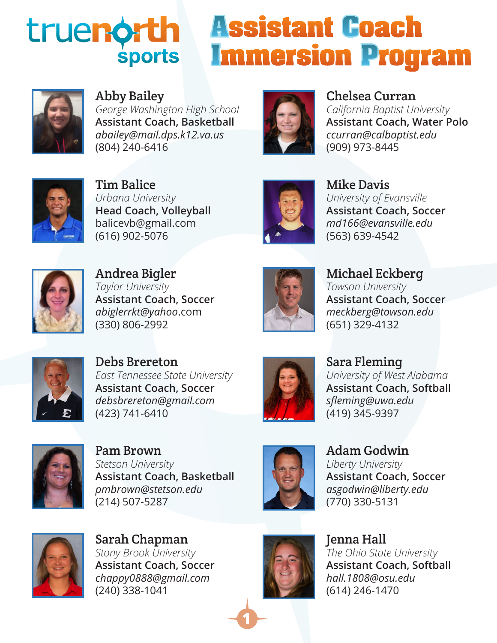## **Assistant Coach** trueno **Immersion Program sports**



Abby Bailey

*George Washington High School* **Assistant Coach, Basketball** *abailey@mail.dps.k12.va.us* (804) 240-6416



Chelsea Curran *California Baptist University* **Assistant Coach, Water Polo** *ccurran@calbaptist.edu* (909) 973-8445



Tim Balice *Urbana University* **Head Coach, Volleyball** balicevb@gmail.com (616) 902-5076



Mike Davis *University of Evansville* **Assistant Coach, Soccer** *md166@evansville.edu* (563) 639-4542



Andrea Bigler *Taylor University* **Assistant Coach, Soccer** *abiglerrkt@yahoo*.com (330) 806-2992



Michael Eckberg *Towson University* **Assistant Coach, Soccer** *meckberg@towson.edu* (651) 329-4132



Debs Brereton *East Tennessee State University* **Assistant Coach, Soccer** *debsbrereton@gmail.com* (423) 741-6410



Sara Fleming *University of West Alabama* **Assistant Coach, Softball** *sfleming@uwa.edu* (419) 345-9397



Pam Brown *Stetson University* **Assistant Coach, Basketball** *pmbrown@stetson.edu* (214) 507-5287



Adam Godwin *Liberty University* **Assistant Coach, Soccer** *asgodwin@liberty.edu* (770) 330-5131



Sarah Chapman *Stony Brook University* **Assistant Coach, Soccer** *chappy0888@gmail.com* (240) 338-1041



**1**

Jenna Hall *The Ohio State University* **Assistant Coach, Softball** *hall.1808@osu.edu* (614) 246-1470